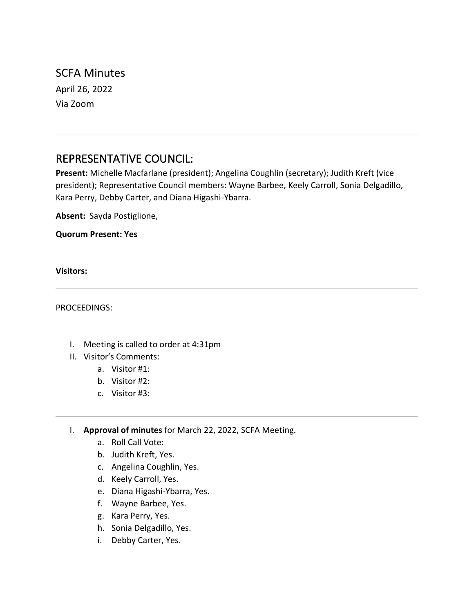SCFA Minutes April 26, 2022 Via Zoom

# REPRESENTATIVE COUNCIL:

**Present:** Michelle Macfarlane (president); Angelina Coughlin (secretary); Judith Kreft (vice president); Representative Council members: Wayne Barbee, Keely Carroll, Sonia Delgadillo, Kara Perry, Debby Carter, and Diana Higashi-Ybarra.

**Absent:** Sayda Postiglione,

**Quorum Present: Yes**

**Visitors:**

PROCEEDINGS:

- I. Meeting is called to order at 4:31pm
- II. Visitor's Comments:
	- a. Visitor #1:
	- b. Visitor #2:
	- c. Visitor #3:
- I. **Approval of minutes** for March 22, 2022, SCFA Meeting.
	- a. Roll Call Vote:
	- b. Judith Kreft, Yes.
	- c. Angelina Coughlin, Yes.
	- d. Keely Carroll, Yes.
	- e. Diana Higashi-Ybarra, Yes.
	- f. Wayne Barbee, Yes.
	- g. Kara Perry, Yes.
	- h. Sonia Delgadillo, Yes.
	- i. Debby Carter, Yes.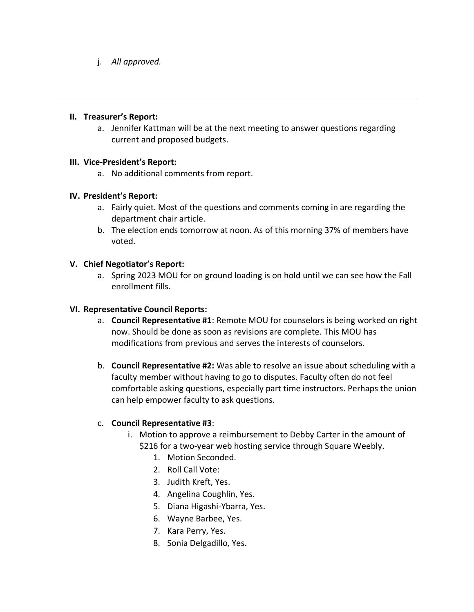j. *All approved.*

#### **II. Treasurer's Report:**

a. Jennifer Kattman will be at the next meeting to answer questions regarding current and proposed budgets.

## **III. Vice-President's Report:**

a. No additional comments from report.

## **IV. President's Report:**

- a. Fairly quiet. Most of the questions and comments coming in are regarding the department chair article.
- b. The election ends tomorrow at noon. As of this morning 37% of members have voted.

# **V. Chief Negotiator's Report:**

a. Spring 2023 MOU for on ground loading is on hold until we can see how the Fall enrollment fills.

#### **VI. Representative Council Reports:**

- a. **Council Representative #1**: Remote MOU for counselors is being worked on right now. Should be done as soon as revisions are complete. This MOU has modifications from previous and serves the interests of counselors.
- b. **Council Representative #2:** Was able to resolve an issue about scheduling with a faculty member without having to go to disputes. Faculty often do not feel comfortable asking questions, especially part time instructors. Perhaps the union can help empower faculty to ask questions.

# c. **Council Representative #3**:

- i. Motion to approve a reimbursement to Debby Carter in the amount of \$216 for a two-year web hosting service through Square Weebly.
	- 1. Motion Seconded.
	- 2. Roll Call Vote:
	- 3. Judith Kreft, Yes.
	- 4. Angelina Coughlin, Yes.
	- 5. Diana Higashi-Ybarra, Yes.
	- 6. Wayne Barbee, Yes.
	- 7. Kara Perry, Yes.
	- 8. Sonia Delgadillo, Yes.